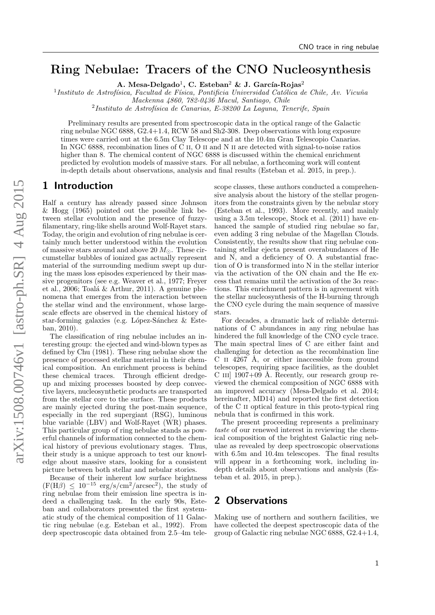# Ring Nebulae: Tracers of the CNO Nucleosynthesis

A. Mesa-Delgado<sup>1</sup>, C. Esteban<sup>2</sup> & J. García-Rojas<sup>2</sup>

<sup>1</sup>Instituto de Astrofísica, Facultad de Física, Pontificia Universidad Católica de Chile, Av. Vicuña

Mackenna 4860, 782-0436 Macul, Santiago, Chile

<sup>2</sup>Instituto de Astrofísica de Canarias, E-38200 La Laguna, Tenerife, Spain

Preliminary results are presented from spectroscopic data in the optical range of the Galactic ring nebulae NGC 6888, G2.4+1.4, RCW 58 and Sh2-308. Deep observations with long exposure times were carried out at the 6.5m Clay Telescope and at the 10.4m Gran Telescopio Canarias. In NGC 6888, recombination lines of C II, O II and N II are detected with signal-to-noise ratios higher than 8. The chemical content of NGC 6888 is discussed within the chemical enrichment predicted by evolution models of massive stars. For all nebulae, a forthcoming work will content in-depth details about observations, analysis and final results (Esteban et al. 2015, in prep.).

#### 1 Introduction

Half a century has already passed since [Johnson](#page-2-0) [& Hogg](#page-2-0) [\(1965\)](#page-2-0) pointed out the possible link between stellar evolution and the presence of fuzzyfilamentary, ring-like shells around Wolf-Rayet stars. Today, the origin and evolution of ring nebulae is certainly much better understood within the evolution of massive stars around and above 20  $M_{\odot}$ . These circumstellar bubbles of ionized gas actually represent material of the surrounding medium swept up during the mass loss episodes experienced by their massive progenitors (see e.g. [Weaver et al.,](#page-2-1) [1977;](#page-2-1) [Freyer](#page-2-2) [et al.,](#page-2-2) [2006;](#page-2-2) Toalá & Arthur, [2011\)](#page-2-3). A genuine phenomena that emerges from the interaction between the stellar wind and the environment, whose largescale effects are observed in the chemical history of star-forming galaxies (e.g. López-Sánchez  $&$  Este[ban,](#page-2-4) [2010\)](#page-2-4).

The classification of ring nebulae includes an interesting group: the ejected and wind-blown types as defined by [Chu](#page-2-5) [\(1981\)](#page-2-5). These ring nebulae show the presence of processed stellar material in their chemical composition. An enrichment process is behind these chemical traces. Through efficient dredgeup and mixing processes boosted by deep convective layers, nucleosynthetic products are transported from the stellar core to the surface. These products are mainly ejected during the post-main sequence, especially in the red supergiant (RSG), luminous blue variable (LBV) and Wolf-Rayet (WR) phases. This particular group of ring nebulae stands as powerful channels of information connected to the chemical history of previous evolutionary stages. Thus, their study is a unique approach to test our knowledge about massive stars, looking for a consistent picture between both stellar and nebular stories.

Because of their inherent low surface brightness  $(F(H\beta) \leq 10^{-15} \text{ erg/s/cm}^2/\text{arcsec}^2)$ , the study of ring nebulae from their emission line spectra is indeed a challenging task. In the early 90s, Esteban and collaborators presented the first systematic study of the chemical composition of 11 Galactic ring nebulae (e.g. [Esteban et al.,](#page-2-6) [1992\)](#page-2-6). From deep spectroscopic data obtained from 2.5–4m telescope classes, these authors conducted a comprehensive analysis about the history of the stellar progenitors from the constraints given by the nebular story [\(Esteban et al.,](#page-2-7) [1993\)](#page-2-7). More recently, and mainly using a 3.5m telescope, [Stock et al.](#page-2-8) [\(2011\)](#page-2-8) have enhanced the sample of studied ring nebulae so far, even adding 3 ring nebulae of the Magellan Clouds. Consistently, the results show that ring nebulae containing stellar ejecta present overabundances of He and N, and a deficiency of O. A substantial fraction of O is transformed into N in the stellar interior via the activation of the ON chain and the He excess that remains until the activation of the  $3\alpha$  reactions. This enrichment pattern is in agreement with the stellar nucleosynthesis of the H-burning through the CNO cycle during the main sequence of massive stars.

For decades, a dramatic lack of reliable determinations of C abundances in any ring nebulae has hindered the full knowledge of the CNO cycle trace. The main spectral lines of C are either faint and challenging for detection as the recombination line C II  $4267$  Å, or either inaccessible from ground telescopes, requiring space facilities, as the doublet C III]  $1907+09$  Å. Recently, our research group reviewed the chemical composition of NGC 6888 with an improved accuracy (Mesa-Delgado et al. 2014; hereinafter, MD14) and reported the first detection of the C ii optical feature in this proto-typical ring nebula that is confirmed in this work.

The present proceeding represents a preliminary taste of our renewed interest in reviewing the chemical composition of the brightest Galactic ring nebulae as revealed by deep spectroscopic observations with 6.5m and 10.4m telescopes. The final results will appear in a forthcoming work, including indepth details about observations and analysis (Esteban et al. 2015, in prep.).

### 2 Observations

Making use of northern and southern facilities, we have collected the deepest spectroscopic data of the group of Galactic ring nebulae NGC 6888, G2.4+1.4,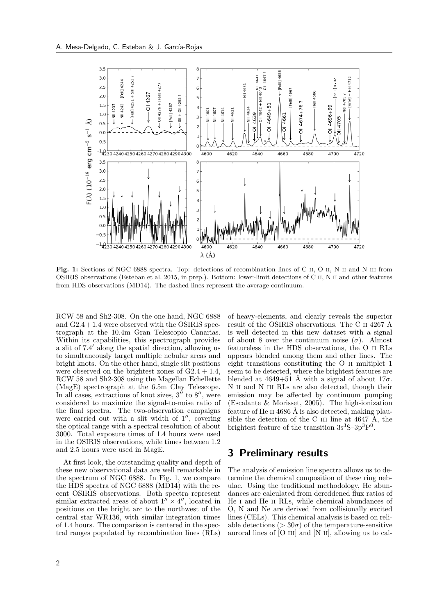<span id="page-1-0"></span>

Fig. 1: Sections of NGC 6888 spectra. Top: detections of recombination lines of C II, O II, N II and N III from OSIRIS observations (Esteban et al. 2015, in prep.). Bottom: lower-limit detections of C ii, N ii and other features from HDS observations (MD14). The dashed lines represent the average continuum.

RCW 58 and Sh2-308. On the one hand, NGC 6888 and  $G2.4+1.4$  were observed with the OSIRIS spectrograph at the 10.4m Gran Telescopio Canarias. Within its capabilities, this spectrograph provides a slit of 7.4 <sup>0</sup> along the spatial direction, allowing us to simultaneously target multiple nebular areas and bright knots. On the other hand, single slit positions were observed on the brightest zones of  $G2.4 + 1.4$ , RCW 58 and Sh2-308 using the Magellan Echellette (MagE) spectrograph at the 6.5m Clay Telescope. In all cases, extractions of knot sizes,  $3''$  to  $8''$ , were considered to maximize the signal-to-noise ratio of the final spectra. The two-observation campaigns were carried out with a slit width of  $1''$ , covering the optical range with a spectral resolution of about 3000. Total exposure times of 1.4 hours were used in the OSIRIS observations, while times between 1.2 and 2.5 hours were used in MagE.

At first look, the outstanding quality and depth of these new observational data are well remarkable in the spectrum of NGC 6888. In Fig. [1,](#page-1-0) we compare the HDS spectra of NGC 6888 (MD14) with the recent OSIRIS observations. Both spectra represent similar extracted areas of about  $1'' \times 4''$ , located in positions on the bright arc to the northwest of the central star WR136, with similar integration times of 1.4 hours. The comparison is centered in the spectral ranges populated by recombination lines (RLs)

of heavy-elements, and clearly reveals the superior result of the OSIRIS observations. The C II 4267 Å is well detected in this new dataset with a signal of about 8 over the continuum noise  $(\sigma)$ . Almost featureless in the HDS observations, the O ii RLs appears blended among them and other lines. The eight transitions constituting the O ii multiplet 1 seem to be detected, where the brightest features are blended at 4649+51 Å with a signal of about  $17\sigma$ . N II and N III RLs are also detected, though their emission may be affected by continuum pumping [\(Escalante & Morisset,](#page-2-9) [2005\)](#page-2-9). The high-ionization feature of He II 4686 Å is also detected, making plausible the detection of the C III line at  $4647$  Å, the brightest feature of the transition  $3s^3S-3p^3P^0$ .

### 3 Preliminary results

The analysis of emission line spectra allows us to determine the chemical composition of these ring nebulae. Using the traditional methodology, He abundances are calculated from dereddened flux ratios of He i and He ii RLs, while chemical abundances of O, N and Ne are derived from collisionally excited lines (CELs). This chemical analysis is based on reliable detections ( $> 30\sigma$ ) of the temperature-sensitive auroral lines of [O III] and [N II], allowing us to cal-